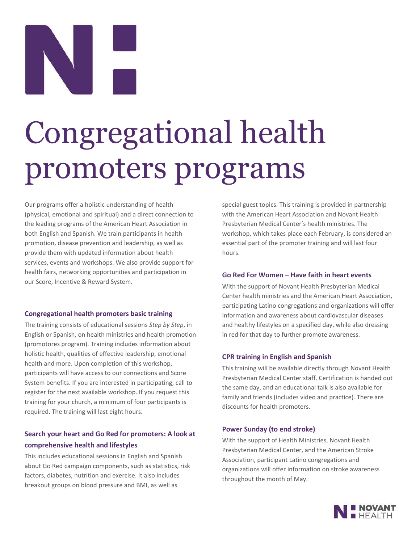# Congregational health promoters programs

Our programs offer a holistic understanding of health (physical, emotional and spiritual) and a direct connection to the leading programs of the American Heart Association in both English and Spanish. We train participants in health promotion, disease prevention and leadership, as well as provide them with updated information about health services, events and workshops. We also provide support for health fairs, networking opportunities and participation in our Score, Incentive & Reward System.

### **Congregational health promoters basic training**

The training consists of educational sessions *Step by Step*, in English or Spanish, on health ministries and health promotion (promotores program). Training includes information about holistic health, qualities of effective leadership, emotional health and more. Upon completion of this workshop, participants will have access to our connections and Score System benefits. If you are interested in participating, call to register for the next available workshop. If you request this training for your church, a minimum of four participants is required. The training will last eight hours.

### **Search your heart and Go Red for promoters: A look at comprehensive health and lifestyles**

This includes educational sessions in English and Spanish about Go Red campaign components, such as statistics, risk factors, diabetes, nutrition and exercise. It also includes breakout groups on blood pressure and BMI, as well as

special guest topics. This training is provided in partnership with the American Heart Association and Novant Health Presbyterian Medical Center's health ministries. The workshop, which takes place each February, is considered an essential part of the promoter training and will last four hours.

### **Go Red For Women – Have faith in heart events**

With the support of Novant Health Presbyterian Medical Center health ministries and the American Heart Association, participating Latino congregations and organizations will offer information and awareness about cardiovascular diseases and healthy lifestyles on a specified day, while also dressing in red for that day to further promote awareness.

### **CPR training in English and Spanish**

This training will be available directly through Novant Health Presbyterian Medical Center staff. Certification is handed out the same day, and an educational talk is also available for family and friends (includes video and practice). There are discounts for health promoters.

### **Power Sunday (to end stroke)**

With the support of Health Ministries, Novant Health Presbyterian Medical Center, and the American Stroke Association, participant Latino congregations and organizations will offer information on stroke awareness throughout the month of May.